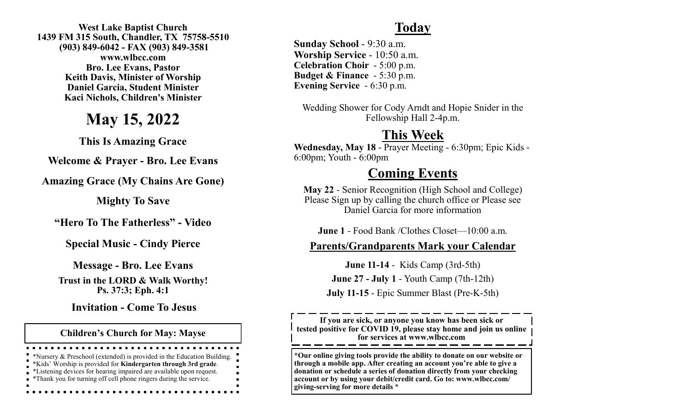**West Lake Baptist Church 1439 FM 315 South, Chandler, TX 75758-5510 (903) 849-6042 - FAX (903) 849-3581 www.wlbcc.com Bro. Lee Evans, Pastor Keith Davis, Minister of Worship Daniel Garcia, Student Minister Kaci Nichols, Children's Minister** 

# **May 15, 2022**

**This Is Amazing Grace**

**Welcome & Prayer - Bro. Lee Evans**

**Amazing Grace (My Chains Are Gone)**

**Mighty To Save**

**"Hero To The Fatherless" - Video** 

**Special Music - Cindy Pierce**

**Message - Bro. Lee Evans Trust in the LORD & Walk Worthy! Ps. 37:3; Eph. 4:1**

**Invitation - Come To Jesus**

**Children's Church for May: Mayse**

\*Nursery & Preschool (extended) is provided in the Education Building.

- \*Kids' Worship is provided for **Kindergarten through 3rd grade**.
- \*Listening devices for hearing impaired are available upon request.
- \*Thank you for turning off cell phone ringers during the service.

### **Today**

**Sunday School** - 9:30 a.m. **Worship Service** - 10:50 a.m. **Celebration Choir** - 5:00 p.m. **Budget & Finance** - 5:30 p.m. **Evening Service** - 6:30 p.m.

Wedding Shower for Cody Arndt and Hopie Snider in the Fellowship Hall 2-4p.m.

## **This Week**

**Wednesday, May 18** - Prayer Meeting - 6:30pm; Epic Kids - 6:00pm; Youth - 6:00pm

### **Coming Events**

**May 22** - Senior Recognition (High School and College) Please Sign up by calling the church office or Please see Daniel Garcia for more information

**June 1** - Food Bank /Clothes Closet—10:00 a.m.

#### **Parents/Grandparents Mark your Calendar**

**June 11-14** - Kids Camp (3rd-5th) **June 27 - July 1** - Youth Camp (7th-12th) **July 11-15** - Epic Summer Blast (Pre-K-5th)

**If you are sick, or anyone you know has been sick or tested positive for COVID 19, please stay home and join us online for services at www.wlbcc.com**

**\*Our online giving tools provide the ability to donate on our website or through a mobile app. After creating an account you're able to give a donation or schedule a series of donation directly from your checking account or by using your debit/credit card. Go to: www.wlbcc.com/ giving-serving for more details \***